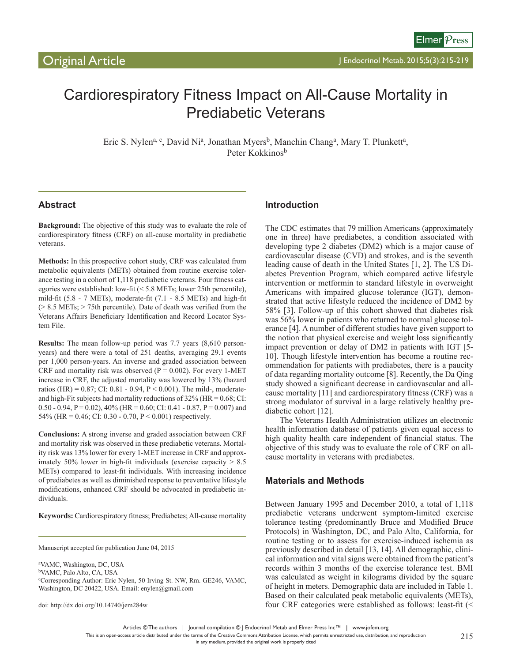# Cardiorespiratory Fitness Impact on All-Cause Mortality in Prediabetic Veterans

Eric S. Nylen<sup>a, c</sup>, David Ni<sup>a</sup>, Jonathan Myers<sup>b</sup>, Manchin Chang<sup>a</sup>, Mary T. Plunkett<sup>a</sup>, Peter Kokkinos<sup>b</sup>

# **Abstract**

**Background:** The objective of this study was to evaluate the role of cardiorespiratory fitness (CRF) on all-cause mortality in prediabetic veterans.

**Methods:** In this prospective cohort study, CRF was calculated from metabolic equivalents (METs) obtained from routine exercise tolerance testing in a cohort of 1,118 prediabetic veterans. Four fitness categories were established: low-fit (< 5.8 METs; lower 25th percentile), mild-fit (5.8 - 7 METs), moderate-fit (7.1 - 8.5 METs) and high-fit (> 8.5 METs; > 75th percentile). Date of death was verified from the Veterans Affairs Beneficiary Identification and Record Locator System File.

**Results:** The mean follow-up period was 7.7 years (8,610 personyears) and there were a total of 251 deaths, averaging 29.1 events per 1,000 person-years. An inverse and graded association between CRF and mortality risk was observed ( $P = 0.002$ ). For every 1-MET increase in CRF, the adjusted mortality was lowered by 13% (hazard ratios (HR) =  $0.87$ ; CI:  $0.81 - 0.94$ , P <  $0.001$ ). The mild-, moderateand high-Fit subjects had mortality reductions of  $32\%$  (HR = 0.68; CI: 0.50 - 0.94, P = 0.02),  $40\%$  (HR = 0.60; CI: 0.41 - 0.87, P = 0.007) and 54% (HR = 0.46; CI: 0.30 - 0.70,  $P < 0.001$ ) respectively.

**Conclusions:** A strong inverse and graded association between CRF and mortality risk was observed in these prediabetic veterans. Mortality risk was 13% lower for every 1-MET increase in CRF and approximately 50% lower in high-fit individuals (exercise capacity  $> 8.5$ ) METs) compared to least-fit individuals. With increasing incidence of prediabetes as well as diminished response to preventative lifestyle modifications, enhanced CRF should be advocated in prediabetic individuals.

**Keywords:** Cardiorespiratory fitness; Prediabetes; All-cause mortality

Manuscript accepted for publication June 04, 2015

a VAMC, Washington, DC, USA bVAMC, Palo Alto, CA, USA c Corresponding Author: Eric Nylen, 50 Irving St. NW, Rm. GE246, VAMC, Washington, DC 20422, USA. Email: enylen@gmail.com

doi: http://dx.doi.org/10.14740/jem284w

## **Introduction**

The CDC estimates that 79 million Americans (approximately one in three) have prediabetes, a condition associated with developing type 2 diabetes (DM2) which is a major cause of cardiovascular disease (CVD) and strokes, and is the seventh leading cause of death in the United States [1, 2]. The US Diabetes Prevention Program, which compared active lifestyle intervention or metformin to standard lifestyle in overweight Americans with impaired glucose tolerance (IGT), demonstrated that active lifestyle reduced the incidence of DM2 by 58% [3]. Follow-up of this cohort showed that diabetes risk was 56% lower in patients who returned to normal glucose tolerance [4]. A number of different studies have given support to the notion that physical exercise and weight loss significantly impact prevention or delay of DM2 in patients with IGT [5- 10]. Though lifestyle intervention has become a routine recommendation for patients with prediabetes, there is a paucity of data regarding mortality outcome [8]. Recently, the Da Qing study showed a significant decrease in cardiovascular and allcause mortality [11] and cardiorespiratory fitness (CRF) was a strong modulator of survival in a large relatively healthy prediabetic cohort [12].

The Veterans Health Administration utilizes an electronic health information database of patients given equal access to high quality health care independent of financial status. The objective of this study was to evaluate the role of CRF on allcause mortality in veterans with prediabetes.

## **Materials and Methods**

Between January 1995 and December 2010, a total of 1,118 prediabetic veterans underwent symptom-limited exercise tolerance testing (predominantly Bruce and Modified Bruce Protocols) in Washington, DC, and Palo Alto, California, for routine testing or to assess for exercise-induced ischemia as previously described in detail [13, 14]. All demographic, clinical information and vital signs were obtained from the patient's records within 3 months of the exercise tolerance test. BMI was calculated as weight in kilograms divided by the square of height in meters. Demographic data are included in Table 1. Based on their calculated peak metabolic equivalents (METs), four CRF categories were established as follows: least-fit (<

Articles © The authors | Journal compilation © J Endocrinol Metab and Elmer Press Inc™ | www.jofem.org

This is an open-access article distributed under the terms of the Creative Commons Attribution License, which permits unrestricted use, distribution, and reproduction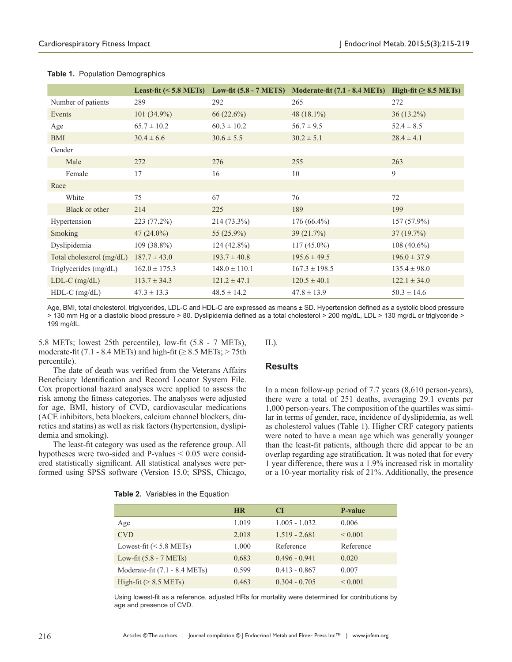|                             |                   | Least-fit $(5.8 METs) Low-fit (5.8 - 7 METS)$ | <b>Moderate-fit (7.1 - 8.4 METs)</b> | High-fit $( \geq 8.5 \text{ METs})$ |
|-----------------------------|-------------------|-----------------------------------------------|--------------------------------------|-------------------------------------|
| Number of patients          | 289               | 292                                           | 265                                  | 272                                 |
| Events                      | 101 (34.9%)       | 66(22.6%)                                     | 48 $(18.1\%)$                        | $36(13.2\%)$                        |
| Age                         | $65.7 \pm 10.2$   | $60.3 \pm 10.2$                               | $56.7 \pm 9.5$                       | $52.4 \pm 8.5$                      |
| <b>BMI</b>                  | $30.4 \pm 6.6$    | $30.6 \pm 5.5$                                | $30.2 \pm 5.1$                       | $28.4 \pm 4.1$                      |
| Gender                      |                   |                                               |                                      |                                     |
| Male                        | 272               | 276                                           | 255                                  | 263                                 |
| Female                      | 17                | 16                                            | 10                                   | 9                                   |
| Race                        |                   |                                               |                                      |                                     |
| White                       | 75                | 67                                            | 76                                   | 72                                  |
| Black or other              | 214               | 225                                           | 189                                  | 199                                 |
| Hypertension                | 223 (77.2%)       | 214 (73.3%)                                   | $176(66.4\%)$                        | $157(57.9\%)$                       |
| Smoking                     | $47(24.0\%)$      | 55 $(25.9\%)$                                 | 39(21.7%)                            | 37(19.7%)                           |
| Dyslipidemia                | $109(38.8\%)$     | $124(42.8\%)$                                 | $117(45.0\%)$                        | $108(40.6\%)$                       |
| Total cholesterol $(mg/dL)$ | $187.7 \pm 43.0$  | $193.7 \pm 40.8$                              | $195.6 \pm 49.5$                     | $196.0 \pm 37.9$                    |
| Triglycerides (mg/dL)       | $162.0 \pm 175.3$ | $148.0 \pm 110.1$                             | $167.3 \pm 198.5$                    | $135.4 \pm 98.0$                    |
| $LDL-C$ (mg/dL)             | $113.7 \pm 34.3$  | $121.2 \pm 47.1$                              | $120.5 \pm 40.1$                     | $122.1 \pm 34.0$                    |
| $HDL-C$ (mg/dL)             | $47.3 \pm 13.3$   | $48.5 \pm 14.2$                               | $47.8 \pm 13.9$                      | $50.3 \pm 14.6$                     |

#### **Table 1.** Population Demographics

Age, BMI, total cholesterol, triglycerides, LDL-C and HDL-C are expressed as means ± SD. Hypertension defined as a systolic blood pressure > 130 mm Hg or a diastolic blood pressure > 80. Dyslipidemia defined as a total cholesterol > 200 mg/dL, LDL > 130 mg/dL or triglyceride > 199 mg/dL.

5.8 METs; lowest 25th percentile), low-fit (5.8 - 7 METs), moderate-fit (7.1 - 8.4 METs) and high-fit ( $\geq$  8.5 METs;  $>$  75th percentile).

The date of death was verified from the Veterans Affairs Beneficiary Identification and Record Locator System File. Cox proportional hazard analyses were applied to assess the risk among the fitness categories. The analyses were adjusted for age, BMI, history of CVD, cardiovascular medications (ACE inhibitors, beta blockers, calcium channel blockers, diuretics and statins) as well as risk factors (hypertension, dyslipidemia and smoking).

The least-fit category was used as the reference group. All hypotheses were two-sided and P-values < 0.05 were considered statistically significant. All statistical analyses were performed using SPSS software (Version 15.0; SPSS, Chicago, IL).

## **Results**

In a mean follow-up period of 7.7 years (8,610 person-years), there were a total of 251 deaths, averaging 29.1 events per 1,000 person-years. The composition of the quartiles was similar in terms of gender, race, incidence of dyslipidemia, as well as cholesterol values (Table 1). Higher CRF category patients were noted to have a mean age which was generally younger than the least-fit patients, although there did appear to be an overlap regarding age stratification. It was noted that for every 1 year difference, there was a 1.9% increased risk in mortality or a 10-year mortality risk of 21%. Additionally, the presence

|  | Table 2. Variables in the Equation |  |  |
|--|------------------------------------|--|--|
|--|------------------------------------|--|--|

|                                  | <b>HR</b> | <b>CI</b>       | P-value      |
|----------------------------------|-----------|-----------------|--------------|
| Age                              | 1.019     | $1.005 - 1.032$ | 0.006        |
| <b>CVD</b>                       | 2.018     | $1.519 - 2.681$ | ${}_{0.001}$ |
| Lowest-fit $(< 5.8$ METs)        | 1.000     | Reference       | Reference    |
| Low-fit $(5.8 - 7 \text{ METs})$ | 0.683     | $0.496 - 0.941$ | 0.020        |
| Moderate-fit (7.1 - 8.4 METs)    | 0.599     | $0.413 - 0.867$ | 0.007        |
| High-fit $(> 8.5 \text{ METs})$  | 0.463     | $0.304 - 0.705$ | ${}_{0.001}$ |

Using lowest-fit as a reference, adjusted HRs for mortality were determined for contributions by age and presence of CVD.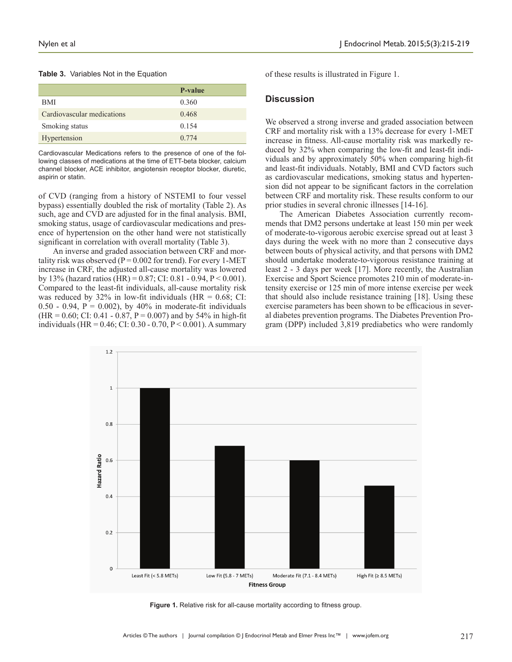#### **Table 3.** Variables Not in the Equation

|                            | P-value |
|----------------------------|---------|
| BMI                        | 0.360   |
| Cardiovascular medications | 0.468   |
| Smoking status             | 0.154   |
| Hypertension               | 0.774   |

Cardiovascular Medications refers to the presence of one of the following classes of medications at the time of ETT-beta blocker, calcium channel blocker, ACE inhibitor, angiotensin receptor blocker, diuretic, aspirin or statin.

of CVD (ranging from a history of NSTEMI to four vessel bypass) essentially doubled the risk of mortality (Table 2). As such, age and CVD are adjusted for in the final analysis. BMI, smoking status, usage of cardiovascular medications and presence of hypertension on the other hand were not statistically significant in correlation with overall mortality (Table 3).

An inverse and graded association between CRF and mortality risk was observed ( $P = 0.002$  for trend). For every 1-MET increase in CRF, the adjusted all-cause mortality was lowered by 13% (hazard ratios (HR) =  $0.87$ ; CI:  $0.81 - 0.94$ , P <  $0.001$ ). Compared to the least-fit individuals, all-cause mortality risk was reduced by  $32\%$  in low-fit individuals (HR = 0.68; CI:  $0.50 - 0.94$ ,  $P = 0.002$ ), by 40% in moderate-fit individuals  $(HR = 0.60; CI: 0.41 - 0.87, P = 0.007)$  and by 54% in high-fit individuals (HR =  $0.46$ ; CI:  $0.30 - 0.70$ , P <  $0.001$ ). A summary

of these results is illustrated in Figure 1.

## **Discussion**

We observed a strong inverse and graded association between CRF and mortality risk with a 13% decrease for every 1-MET increase in fitness. All-cause mortality risk was markedly reduced by 32% when comparing the low-fit and least-fit individuals and by approximately 50% when comparing high-fit and least-fit individuals. Notably, BMI and CVD factors such as cardiovascular medications, smoking status and hypertension did not appear to be significant factors in the correlation between CRF and mortality risk. These results conform to our prior studies in several chronic illnesses [14-16].

The American Diabetes Association currently recommends that DM2 persons undertake at least 150 min per week of moderate-to-vigorous aerobic exercise spread out at least 3 days during the week with no more than 2 consecutive days between bouts of physical activity, and that persons with DM2 should undertake moderate-to-vigorous resistance training at least 2 - 3 days per week [17]. More recently, the Australian Exercise and Sport Science promotes 210 min of moderate-intensity exercise or 125 min of more intense exercise per week that should also include resistance training [18]. Using these exercise parameters has been shown to be efficacious in several diabetes prevention programs. The Diabetes Prevention Program (DPP) included 3,819 prediabetics who were randomly



**Figure 1.** Relative risk for all-cause mortality according to fitness group.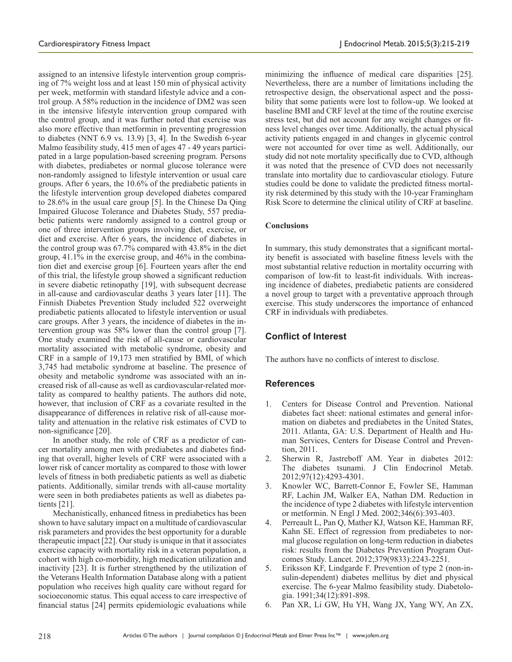assigned to an intensive lifestyle intervention group comprising of 7% weight loss and at least 150 min of physical activity per week, metformin with standard lifestyle advice and a control group. A 58% reduction in the incidence of DM2 was seen in the intensive lifestyle intervention group compared with the control group, and it was further noted that exercise was also more effective than metformin in preventing progression to diabetes (NNT 6.9 vs. 13.9) [3, 4]. In the Swedish 6-year Malmo feasibility study, 415 men of ages 47 - 49 years participated in a large population-based screening program. Persons with diabetes, prediabetes or normal glucose tolerance were non-randomly assigned to lifestyle intervention or usual care groups. After 6 years, the 10.6% of the prediabetic patients in the lifestyle intervention group developed diabetes compared to 28.6% in the usual care group [5]. In the Chinese Da Qing Impaired Glucose Tolerance and Diabetes Study, 557 prediabetic patients were randomly assigned to a control group or one of three intervention groups involving diet, exercise, or diet and exercise. After 6 years, the incidence of diabetes in the control group was 67.7% compared with 43.8% in the diet group, 41.1% in the exercise group, and 46% in the combination diet and exercise group [6]. Fourteen years after the end of this trial, the lifestyle group showed a significant reduction in severe diabetic retinopathy [19], with subsequent decrease in all-cause and cardiovascular deaths 3 years later [11]. The Finnish Diabetes Prevention Study included 522 overweight prediabetic patients allocated to lifestyle intervention or usual care groups. After 3 years, the incidence of diabetes in the intervention group was 58% lower than the control group [7]. One study examined the risk of all-cause or cardiovascular mortality associated with metabolic syndrome, obesity and CRF in a sample of 19,173 men stratified by BMI, of which 3,745 had metabolic syndrome at baseline. The presence of obesity and metabolic syndrome was associated with an increased risk of all-cause as well as cardiovascular-related mortality as compared to healthy patients. The authors did note, however, that inclusion of CRF as a covariate resulted in the disappearance of differences in relative risk of all-cause mortality and attenuation in the relative risk estimates of CVD to non-significance [20].

In another study, the role of CRF as a predictor of cancer mortality among men with prediabetes and diabetes finding that overall, higher levels of CRF were associated with a lower risk of cancer mortality as compared to those with lower levels of fitness in both prediabetic patients as well as diabetic patients. Additionally, similar trends with all-cause mortality were seen in both prediabetes patients as well as diabetes patients [21].

Mechanistically, enhanced fitness in prediabetics has been shown to have salutary impact on a multitude of cardiovascular risk parameters and provides the best opportunity for a durable therapeutic impact [22]. Our study is unique in that it associates exercise capacity with mortality risk in a veteran population, a cohort with high co-morbidity, high medication utilization and inactivity [23]. It is further strengthened by the utilization of the Veterans Health Information Database along with a patient population who receives high quality care without regard for socioeconomic status. This equal access to care irrespective of financial status [24] permits epidemiologic evaluations while

minimizing the influence of medical care disparities [25]. Nevertheless, there are a number of limitations including the retrospective design, the observational aspect and the possibility that some patients were lost to follow-up. We looked at baseline BMI and CRF level at the time of the routine exercise stress test, but did not account for any weight changes or fitness level changes over time. Additionally, the actual physical activity patients engaged in and changes in glycemic control were not accounted for over time as well. Additionally, our study did not note mortality specifically due to CVD, although it was noted that the presence of CVD does not necessarily translate into mortality due to cardiovascular etiology. Future studies could be done to validate the predicted fitness mortality risk determined by this study with the 10-year Framingham Risk Score to determine the clinical utility of CRF at baseline.

### **Conclusions**

In summary, this study demonstrates that a significant mortality benefit is associated with baseline fitness levels with the most substantial relative reduction in mortality occurring with comparison of low-fit to least-fit individuals. With increasing incidence of diabetes, prediabetic patients are considered a novel group to target with a preventative approach through exercise. This study underscores the importance of enhanced CRF in individuals with prediabetes.

# **Conflict of Interest**

The authors have no conflicts of interest to disclose.

## **References**

- 1. Centers for Disease Control and Prevention. National diabetes fact sheet: national estimates and general information on diabetes and prediabetes in the United States, 2011. Atlanta, GA: U.S. Department of Health and Human Services, Centers for Disease Control and Prevention, 2011.
- 2. Sherwin R, Jastreboff AM. Year in diabetes 2012: The diabetes tsunami. J Clin Endocrinol Metab. 2012;97(12):4293-4301.
- 3. Knowler WC, Barrett-Connor E, Fowler SE, Hamman RF, Lachin JM, Walker EA, Nathan DM. Reduction in the incidence of type 2 diabetes with lifestyle intervention or metformin. N Engl J Med. 2002;346(6):393-403.
- 4. Perreault L, Pan Q, Mather KJ, Watson KE, Hamman RF, Kahn SE. Effect of regression from prediabetes to normal glucose regulation on long-term reduction in diabetes risk: results from the Diabetes Prevention Program Outcomes Study. Lancet. 2012;379(9833):2243-2251.
- 5. Eriksson KF, Lindgarde F. Prevention of type 2 (non-insulin-dependent) diabetes mellitus by diet and physical exercise. The 6-year Malmo feasibility study. Diabetologia. 1991;34(12):891-898.
- 6. Pan XR, Li GW, Hu YH, Wang JX, Yang WY, An ZX,